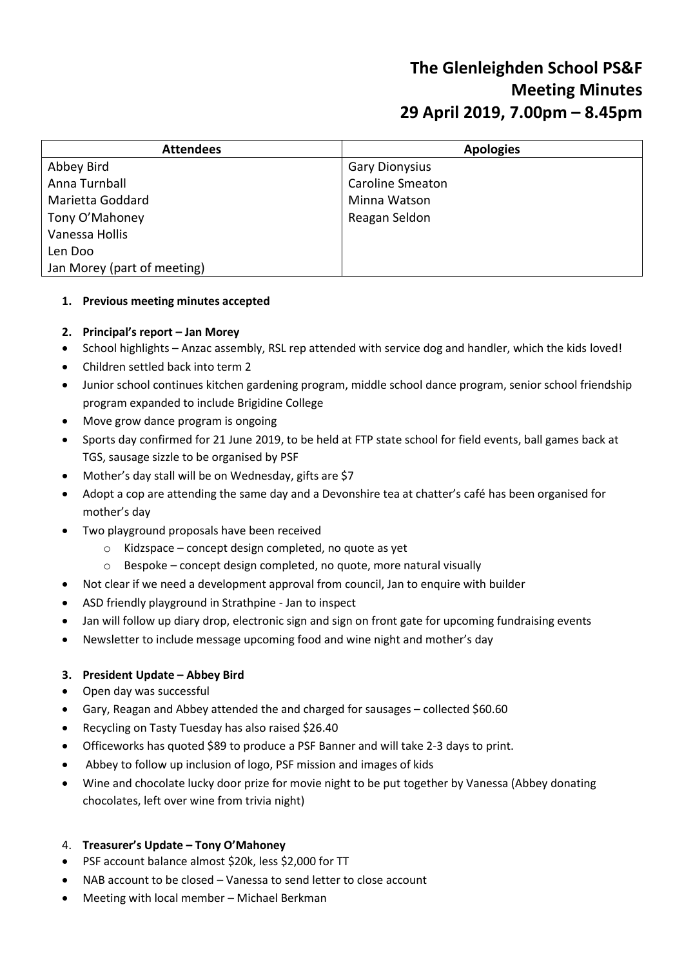# **The Glenleighden School PS&F Meeting Minutes 29 April 2019, 7.00pm – 8.45pm**

| <b>Attendees</b>            | <b>Apologies</b>        |
|-----------------------------|-------------------------|
| Abbey Bird                  | <b>Gary Dionysius</b>   |
| Anna Turnball               | <b>Caroline Smeaton</b> |
| Marietta Goddard            | Minna Watson            |
| Tony O'Mahoney              | Reagan Seldon           |
| Vanessa Hollis              |                         |
| Len Doo                     |                         |
| Jan Morey (part of meeting) |                         |

# **1. Previous meeting minutes accepted**

#### **2. Principal's report – Jan Morey**

- School highlights Anzac assembly, RSL rep attended with service dog and handler, which the kids loved!
- Children settled back into term 2
- Junior school continues kitchen gardening program, middle school dance program, senior school friendship program expanded to include Brigidine College
- Move grow dance program is ongoing
- Sports day confirmed for 21 June 2019, to be held at FTP state school for field events, ball games back at TGS, sausage sizzle to be organised by PSF
- Mother's day stall will be on Wednesday, gifts are \$7
- Adopt a cop are attending the same day and a Devonshire tea at chatter's café has been organised for mother's day
- Two playground proposals have been received
	- o Kidzspace concept design completed, no quote as yet
	- o Bespoke concept design completed, no quote, more natural visually
- Not clear if we need a development approval from council, Jan to enquire with builder
- ASD friendly playground in Strathpine Jan to inspect
- Jan will follow up diary drop, electronic sign and sign on front gate for upcoming fundraising events
- Newsletter to include message upcoming food and wine night and mother's day

#### **3. President Update – Abbey Bird**

- Open day was successful
- Gary, Reagan and Abbey attended the and charged for sausages collected \$60.60
- Recycling on Tasty Tuesday has also raised \$26.40
- Officeworks has quoted \$89 to produce a PSF Banner and will take 2-3 days to print.
- Abbey to follow up inclusion of logo, PSF mission and images of kids
- Wine and chocolate lucky door prize for movie night to be put together by Vanessa (Abbey donating chocolates, left over wine from trivia night)

#### 4. **Treasurer's Update – Tony O'Mahoney**

- PSF account balance almost \$20k, less \$2,000 for TT
- NAB account to be closed Vanessa to send letter to close account
- Meeting with local member Michael Berkman